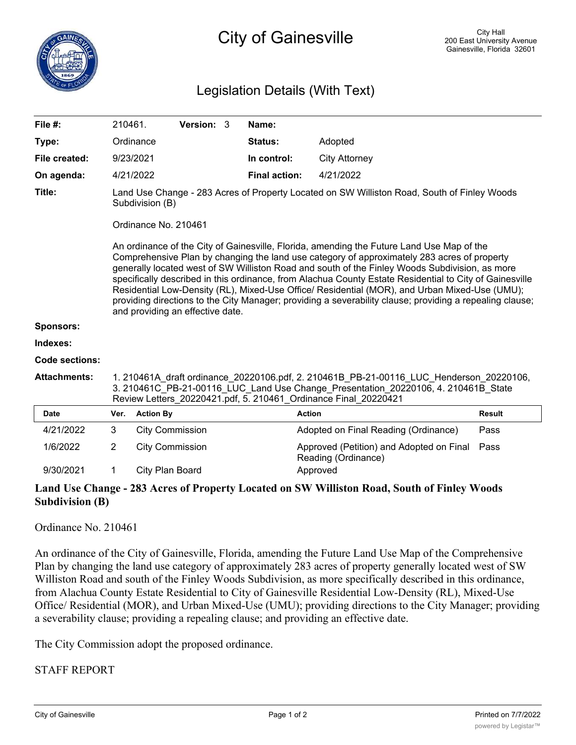# Legislation Details (With Text)

| File #:               |                                                                                                                                                                                                                                                                                                                                                                                                                                                            | 210461.                | Version: 3 |  | Name:                |                                                                 |               |
|-----------------------|------------------------------------------------------------------------------------------------------------------------------------------------------------------------------------------------------------------------------------------------------------------------------------------------------------------------------------------------------------------------------------------------------------------------------------------------------------|------------------------|------------|--|----------------------|-----------------------------------------------------------------|---------------|
| Type:                 |                                                                                                                                                                                                                                                                                                                                                                                                                                                            | Ordinance              |            |  | Status:              | Adopted                                                         |               |
| File created:         |                                                                                                                                                                                                                                                                                                                                                                                                                                                            | 9/23/2021              |            |  | In control:          | <b>City Attorney</b>                                            |               |
| On agenda:            |                                                                                                                                                                                                                                                                                                                                                                                                                                                            | 4/21/2022              |            |  | <b>Final action:</b> | 4/21/2022                                                       |               |
| Title:                | Land Use Change - 283 Acres of Property Located on SW Williston Road, South of Finley Woods<br>Subdivision (B)<br>Ordinance No. 210461<br>An ordinance of the City of Gainesville, Florida, amending the Future Land Use Map of the<br>Comprehensive Plan by changing the land use category of approximately 283 acres of property                                                                                                                         |                        |            |  |                      |                                                                 |               |
|                       | generally located west of SW Williston Road and south of the Finley Woods Subdivision, as more<br>specifically described in this ordinance, from Alachua County Estate Residential to City of Gainesville<br>Residential Low-Density (RL), Mixed-Use Office/ Residential (MOR), and Urban Mixed-Use (UMU);<br>providing directions to the City Manager; providing a severability clause; providing a repealing clause;<br>and providing an effective date. |                        |            |  |                      |                                                                 |               |
| <b>Sponsors:</b>      |                                                                                                                                                                                                                                                                                                                                                                                                                                                            |                        |            |  |                      |                                                                 |               |
| Indexes:              |                                                                                                                                                                                                                                                                                                                                                                                                                                                            |                        |            |  |                      |                                                                 |               |
| <b>Code sections:</b> |                                                                                                                                                                                                                                                                                                                                                                                                                                                            |                        |            |  |                      |                                                                 |               |
| <b>Attachments:</b>   | 1. 210461A draft ordinance 20220106.pdf, 2. 210461B PB-21-00116 LUC Henderson 20220106,<br>3. 210461C_PB-21-00116_LUC_Land Use Change_Presentation_20220106, 4. 210461B_State<br>Review Letters 20220421.pdf, 5. 210461 Ordinance Final 20220421                                                                                                                                                                                                           |                        |            |  |                      |                                                                 |               |
| <b>Date</b>           | Ver.                                                                                                                                                                                                                                                                                                                                                                                                                                                       | <b>Action By</b>       |            |  |                      | <b>Action</b>                                                   | <b>Result</b> |
| 4/21/2022             | 3                                                                                                                                                                                                                                                                                                                                                                                                                                                          | <b>City Commission</b> |            |  |                      | Adopted on Final Reading (Ordinance)                            | Pass          |
| 1/6/2022              | $\overline{2}$                                                                                                                                                                                                                                                                                                                                                                                                                                             | <b>City Commission</b> |            |  |                      | Approved (Petition) and Adopted on Final<br>Reading (Ordinance) | Pass          |
| 9/30/2021             | $\mathbf 1$                                                                                                                                                                                                                                                                                                                                                                                                                                                | City Plan Board        |            |  |                      | Approved                                                        |               |

## **Land Use Change - 283 Acres of Property Located on SW Williston Road, South of Finley Woods Subdivision (B)**

### Ordinance No. 210461

An ordinance of the City of Gainesville, Florida, amending the Future Land Use Map of the Comprehensive Plan by changing the land use category of approximately 283 acres of property generally located west of SW Williston Road and south of the Finley Woods Subdivision, as more specifically described in this ordinance, from Alachua County Estate Residential to City of Gainesville Residential Low-Density (RL), Mixed-Use Office/ Residential (MOR), and Urban Mixed-Use (UMU); providing directions to the City Manager; providing a severability clause; providing a repealing clause; and providing an effective date.

The City Commission adopt the proposed ordinance.

## STAFF REPORT